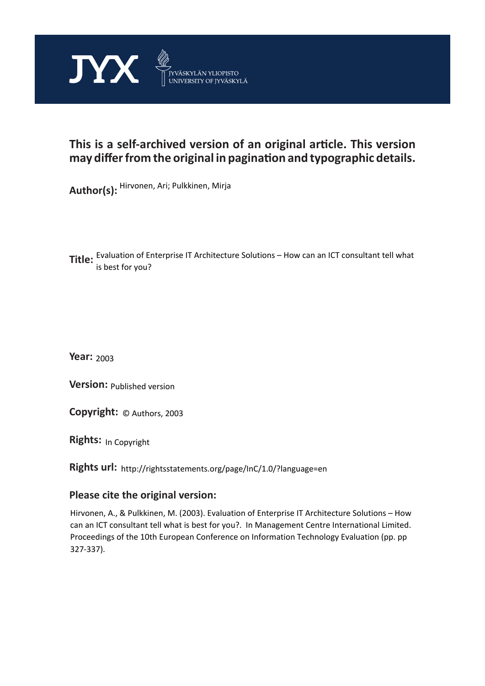

# **This is a self-archived version of an original article. This version may differ from the original in pagination and typographic details.**

**Author(s):**  Hirvonen, Ari; Pulkkinen, Mirja

**Title:**  Evaluation of Enterprise IT Architecture Solutions – How can an ICT consultant tell what is best for you?

**Year:**  2003

**Version: Published version** 

**Version:** Published version<br>**Copyright:** © Authors, 2003

**Rights:** In Copyright

**Rights url:**  http://rightsstatements.org/page/InC/1.0/?language=en

## **Please cite the original version:**

Hirvonen, A., & Pulkkinen, M. (2003). Evaluation of Enterprise IT Architecture Solutions – How can an ICT consultant tell what is best for you?. In Management Centre International Limited. Proceedings of the 10th European Conference on Information Technology Evaluation (pp. pp 327-337).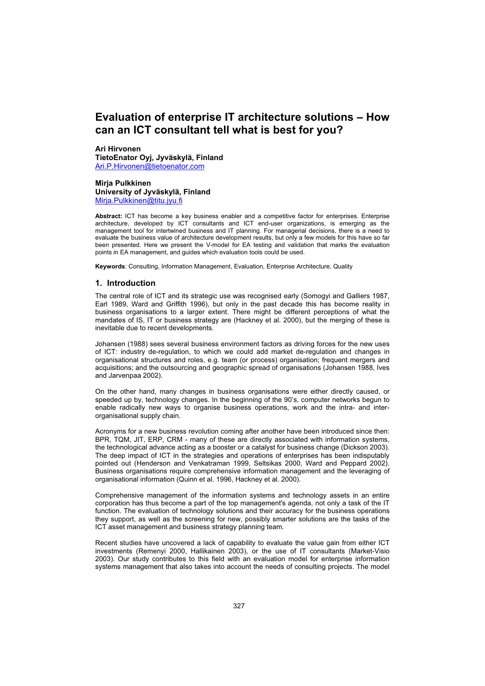## **Evaluation of enterprise IT architecture solutions – How can an ICT consultant tell what is best for you?**

**Ari Hirvonen TietoEnator Oyj, Jyväskylä, Finland**  Ari.P.Hirvonen@tietoenator.com

**Mirja Pulkkinen University of Jyväskylä, Finland**  Mirja.Pulkkinen@titu.jyu.fi

**Abstract:** ICT has become a key business enabler and a competitive factor for enterprises. Enterprise architecture, developed by ICT consultants and ICT end-user organizations, is emerging as the management tool for intertwined business and IT planning. For managerial decisions, there is a need to evaluate the business value of architecture development results, but only a few models for this have so far been presented. Here we present the V-model for EA testing and validation that marks the evaluation points in EA management, and guides which evaluation tools could be used.

**Keywords**: Consulting, Information Management, Evaluation, Enterprise Architecture, Quality

## **1. Introduction**

The central role of ICT and its strategic use was recognised early (Somogyi and Galliers 1987, Earl 1989, Ward and Griffith 1996), but only in the past decade this has become reality in business organisations to a larger extent. There might be different perceptions of what the mandates of IS, IT or business strategy are (Hackney et al. 2000), but the merging of these is inevitable due to recent developments.

Johansen (1988) sees several business environment factors as driving forces for the new uses of ICT: industry de-regulation, to which we could add market de-regulation and changes in organisational structures and roles, e.g. team (or process) organisation; frequent mergers and acquisitions; and the outsourcing and geographic spread of organisations (Johansen 1988, Ives and Jarvenpaa 2002).

On the other hand, many changes in business organisations were either directly caused, or speeded up by, technology changes. In the beginning of the 90's, computer networks begun to enable radically new ways to organise business operations, work and the intra- and interorganisational supply chain.

Acronyms for a new business revolution coming after another have been introduced since then: BPR, TQM, JIT, ERP, CRM - many of these are directly associated with information systems, the technological advance acting as a booster or a catalyst for business change (Dickson 2003). The deep impact of ICT in the strategies and operations of enterprises has been indisputably pointed out (Henderson and Venkatraman 1999, Seltsikas 2000, Ward and Peppard 2002). Business organisations require comprehensive information management and the leveraging of organisational information (Quinn et al. 1996, Hackney et al. 2000).

Comprehensive management of the information systems and technology assets in an entire corporation has thus become a part of the top management's agenda, not only a task of the IT function. The evaluation of technology solutions and their accuracy for the business operations they support, as well as the screening for new, possibly smarter solutions are the tasks of the ICT asset management and business strategy planning team.

Recent studies have uncovered a lack of capability to evaluate the value gain from either ICT investments (Remenyi 2000, Hallikainen 2003), or the use of IT consultants (Market-Visio 2003). Our study contributes to this field with an evaluation model for enterprise information systems management that also takes into account the needs of consulting projects. The model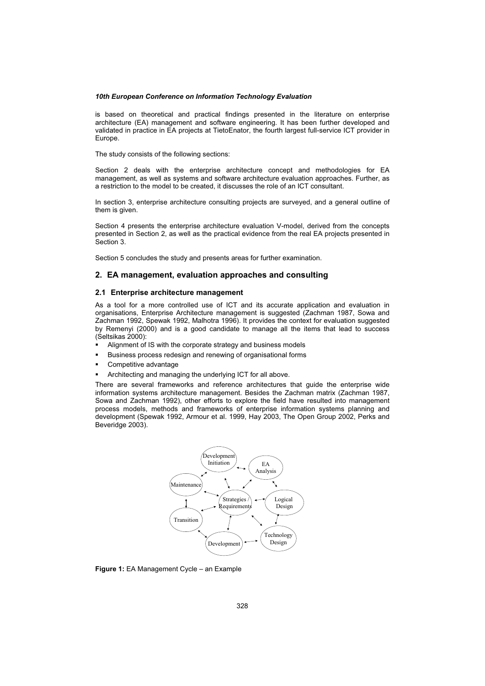is based on theoretical and practical findings presented in the literature on enterprise architecture (EA) management and software engineering. It has been further developed and validated in practice in EA projects at TietoEnator, the fourth largest full-service ICT provider in Europe.

The study consists of the following sections:

Section 2 deals with the enterprise architecture concept and methodologies for EA management, as well as systems and software architecture evaluation approaches. Further, as a restriction to the model to be created, it discusses the role of an ICT consultant.

In section 3, enterprise architecture consulting projects are surveyed, and a general outline of them is given.

Section 4 presents the enterprise architecture evaluation V-model, derived from the concepts presented in Section 2, as well as the practical evidence from the real EA projects presented in Section 3.

Section 5 concludes the study and presents areas for further examination.

## **2. EA management, evaluation approaches and consulting**

### **2.1 Enterprise architecture management**

As a tool for a more controlled use of ICT and its accurate application and evaluation in organisations, Enterprise Architecture management is suggested (Zachman 1987, Sowa and Zachman 1992, Spewak 1992, Malhotra 1996). It provides the context for evaluation suggested by Remenyi (2000) and is a good candidate to manage all the items that lead to success (Seltsikas 2000):

- Alignment of IS with the corporate strategy and business models
- Business process redesign and renewing of organisational forms
- Competitive advantage
- Architecting and managing the underlying ICT for all above.

There are several frameworks and reference architectures that guide the enterprise wide information systems architecture management. Besides the Zachman matrix (Zachman 1987, Sowa and Zachman 1992), other efforts to explore the field have resulted into management process models, methods and frameworks of enterprise information systems planning and development (Spewak 1992, Armour et al. 1999, Hay 2003, The Open Group 2002, Perks and Beveridge 2003).



**Figure 1:** EA Management Cycle – an Example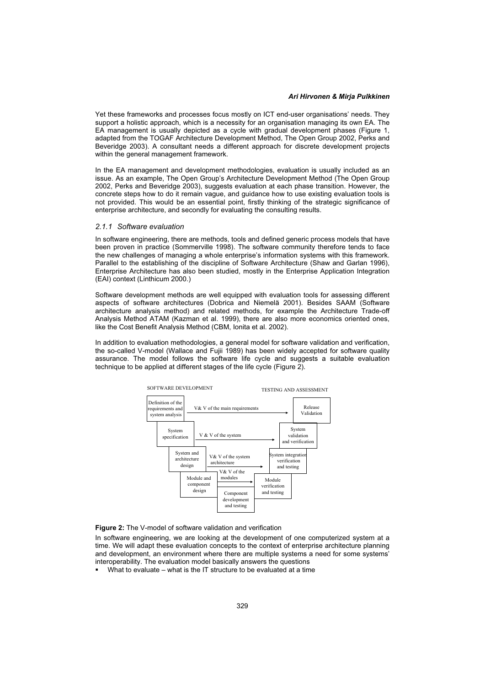#### Ari Hirvonen & Miria Pulkkinen *Ari Hirvonen & Mirja Pulkkinen*

Yet these frameworks and processes focus mostly on ICT end-user organisations' needs. They support a holistic approach, which is a necessity for an organisation managing its own EA. The EA management is usually depicted as a cycle with gradual development phases (Figure 1, adapted from the TOGAF Architecture Development Method, The Open Group 2002, Perks and Beveridge 2003). A consultant needs a different approach for discrete development projects within the general management framework.

In the EA management and development methodologies, evaluation is usually included as an issue. As an example, The Open Group's Architecture Development Method (The Open Group 2002, Perks and Beveridge 2003), suggests evaluation at each phase transition. However, the concrete steps how to do it remain vague, and guidance how to use existing evaluation tools is not provided. This would be an essential point, firstly thinking of the strategic significance of enterprise architecture, and secondly for evaluating the consulting results.

### *2.1.1 Software evaluation*

In software engineering, there are methods, tools and defined generic process models that have been proven in practice (Sommerville 1998). The software community therefore tends to face the new challenges of managing a whole enterprise's information systems with this framework. Parallel to the establishing of the discipline of Software Architecture (Shaw and Garlan 1996), Enterprise Architecture has also been studied, mostly in the Enterprise Application Integration (EAI) context (Linthicum 2000.)

Software development methods are well equipped with evaluation tools for assessing different aspects of software architectures (Dobrica and Niemelä 2001). Besides SAAM (Software architecture analysis method) and related methods, for example the Architecture Trade-off Analysis Method ATAM (Kazman et al. 1999), there are also more economics oriented ones, like the Cost Benefit Analysis Method (CBM, Ionita et al. 2002).

In addition to evaluation methodologies, a general model for software validation and verification, the so-called V-model (Wallace and Fujii 1989) has been widely accepted for software quality assurance. The model follows the software life cycle and suggests a suitable evaluation technique to be applied at different stages of the life cycle (Figure 2).



**Figure 2:** The V-model of software validation and verification

In software engineering, we are looking at the development of one computerized system at a time. We will adapt these evaluation concepts to the context of enterprise architecture planning and development, an environment where there are multiple systems a need for some systems' interoperability. The evaluation model basically answers the questions

What to evaluate – what is the IT structure to be evaluated at a time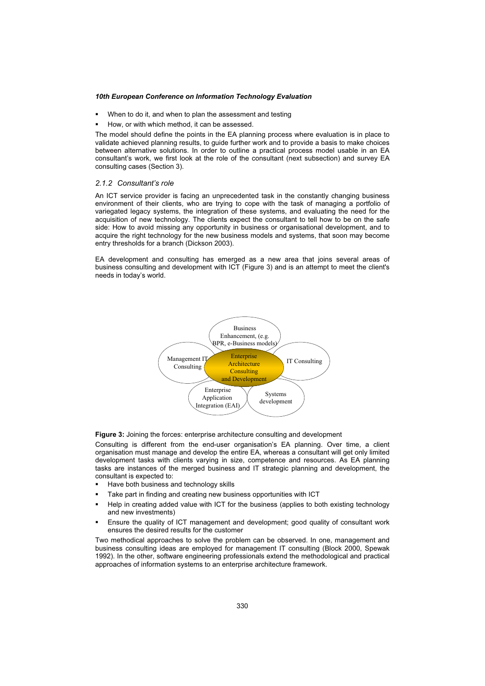- When to do it, and when to plan the assessment and testing
- How, or with which method, it can be assessed.

The model should define the points in the EA planning process where evaluation is in place to validate achieved planning results, to guide further work and to provide a basis to make choices between alternative solutions. In order to outline a practical process model usable in an EA consultant's work, we first look at the role of the consultant (next subsection) and survey EA consulting cases (Section 3).

### *2.1.2 Consultant's role*

An ICT service provider is facing an unprecedented task in the constantly changing business environment of their clients, who are trying to cope with the task of managing a portfolio of variegated legacy systems, the integration of these systems, and evaluating the need for the acquisition of new technology. The clients expect the consultant to tell how to be on the safe side: How to avoid missing any opportunity in business or organisational development, and to acquire the right technology for the new business models and systems, that soon may become entry thresholds for a branch (Dickson 2003).

EA development and consulting has emerged as a new area that joins several areas of business consulting and development with ICT (Figure 3) and is an attempt to meet the client's needs in today's world.



**Figure 3:** Joining the forces: enterprise architecture consulting and development

Consulting is different from the end-user organisation's EA planning. Over time, a client organisation must manage and develop the entire EA, whereas a consultant will get only limited development tasks with clients varying in size, competence and resources. As EA planning tasks are instances of the merged business and IT strategic planning and development, the consultant is expected to:

- Have both business and technology skills
- Take part in finding and creating new business opportunities with ICT
- Help in creating added value with ICT for the business (applies to both existing technology and new investments)
- Ensure the quality of ICT management and development; good quality of consultant work ensures the desired results for the customer

Two methodical approaches to solve the problem can be observed. In one, management and business consulting ideas are employed for management IT consulting (Block 2000, Spewak 1992). In the other, software engineering professionals extend the methodological and practical approaches of information systems to an enterprise architecture framework.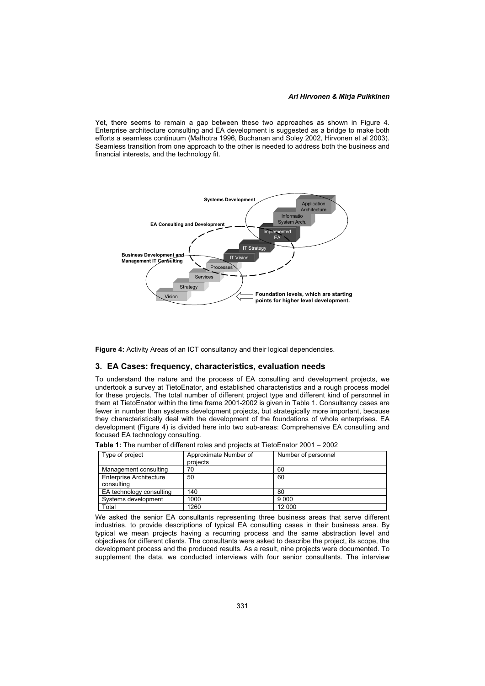## *Ari Hirvonen & Mirja Pulkkinen*

Yet, there seems to remain a gap between these two approaches as shown in Figure 4. Enterprise architecture consulting and EA development is suggested as a bridge to make both efforts a seamless continuum (Malhotra 1996, Buchanan and Soley 2002, Hirvonen et al 2003). Seamless transition from one approach to the other is needed to address both the business and financial interests, and the technology fit.



Figure 4: Activity Areas of an ICT consultancy and their logical dependencies.

## **3. EA Cases: frequency, characteristics, evaluation needs**

To understand the nature and the process of EA consulting and development projects, we undertook a survey at TietoEnator, and established characteristics and a rough process model for these projects. The total number of different project type and different kind of personnel in them at TietoEnator within the time frame 2001-2002 is given in Table 1. Consultancy cases are fewer in number than systems development projects, but strategically more important, because they characteristically deal with the development of the foundations of whole enterprises. EA development (Figure 4) is divided here into two sub-areas: Comprehensive EA consulting and focused EA technology consulting.

| Table 1: The number of different roles and projects at TietoEnator 2001 – 2002 |  |
|--------------------------------------------------------------------------------|--|
|--------------------------------------------------------------------------------|--|

| Type of project                              | Approximate Number of<br>projects | Number of personnel |
|----------------------------------------------|-----------------------------------|---------------------|
| Management consulting                        | 70                                | 60                  |
| <b>Enterprise Architecture</b><br>consulting | 50                                | 60                  |
| EA technology consulting                     | 140                               | 80                  |
| Systems development                          | 1000                              | 9 0 0 0             |
| Total                                        | 1260                              | 12 000              |

We asked the senior EA consultants representing three business areas that serve different industries, to provide descriptions of typical EA consulting cases in their business area. By typical we mean projects having a recurring process and the same abstraction level and objectives for different clients. The consultants were asked to describe the project, its scope, the development process and the produced results. As a result, nine projects were documented. To supplement the data, we conducted interviews with four senior consultants. The interview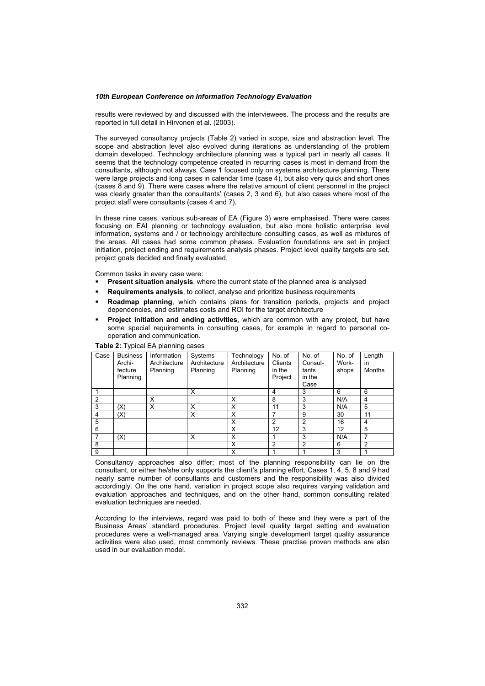results were reviewed by and discussed with the interviewees. The process and the results are reported in full detail in Hirvonen et al. (2003).

The surveyed consultancy projects (Table 2) varied in scope, size and abstraction level. The scope and abstraction level also evolved during iterations as understanding of the problem domain developed. Technology architecture planning was a typical part in nearly all cases. It seems that the technology competence created in recurring cases is most in demand from the consultants, although not always. Case 1 focused only on systems architecture planning. There were large projects and long cases in calendar time (case 4), but also very quick and short ones (cases 8 and 9). There were cases where the relative amount of client personnel in the project was clearly greater than the consultants' (cases 2, 3 and 6), but also cases where most of the project staff were consultants (cases 4 and 7).

In these nine cases, various sub-areas of EA (Figure 3) were emphasised. There were cases focusing on EAI planning or technology evaluation, but also more holistic enterprise level information, systems and / or technology architecture consulting cases, as well as mixtures of the areas. All cases had some common phases. Evaluation foundations are set in project initiation, project ending and requirements analysis phases. Project level quality targets are set, project goals decided and finally evaluated.

Common tasks in every case were:

- **Present situation analysis**, where the current state of the planned area is analysed
- **Requirements analysis**, to collect, analyse and prioritize business requirements
- **Roadmap planning**, which contains plans for transition periods, projects and project dependencies, and estimates costs and ROI for the target architecture
- **Project initiation and ending activities**, which are common with any project, but have some special requirements in consulting cases, for example in regard to personal cooperation and communication.

| Case           | <b>Business</b><br>Archi-<br>tecture<br>Planning | Information<br>Architecture<br>Planning | Systems<br>Architecture<br>Planning | Technology<br>Architecture<br>Planning | No. of<br>Clients<br>in the<br>Project | No. of<br>Consul-<br>tants<br>in the<br>Case | No. of<br>Work-<br>shops | Length<br>in<br>Months |
|----------------|--------------------------------------------------|-----------------------------------------|-------------------------------------|----------------------------------------|----------------------------------------|----------------------------------------------|--------------------------|------------------------|
|                |                                                  |                                         | X                                   |                                        | 4                                      | 3                                            | 6                        | 6                      |
| $\mathfrak{p}$ |                                                  | X                                       |                                     | X                                      | 8                                      | 3                                            | N/A                      | 4                      |
| 3              | (X)                                              | X                                       | X                                   | X                                      | 11                                     | 3                                            | N/A                      | 5                      |
| 4              | (X)                                              |                                         | X                                   | X                                      |                                        | 9                                            | 30                       | 11                     |
| 5              |                                                  |                                         |                                     | X                                      | 2                                      | $\overline{2}$                               | 16                       | 4                      |
| 6              |                                                  |                                         |                                     | X                                      | 12                                     | 3                                            | 12                       | 5                      |
| 7              | (X)                                              |                                         | X                                   | X                                      |                                        | 3                                            | N/A                      | $\overline{7}$         |
| 8              |                                                  |                                         |                                     | X                                      | $\overline{2}$                         | $\overline{2}$                               | 6                        | $\overline{2}$         |
| 9              |                                                  |                                         |                                     | X                                      |                                        |                                              | 3                        |                        |

**Table 2:** Typical EA planning cases

Consultancy approaches also differ; most of the planning responsibility can lie on the consultant, or either he/she only supports the client's planning effort. Cases 1, 4, 5, 8 and 9 had nearly same number of consultants and customers and the responsibility was also divided accordingly. On the one hand, variation in project scope also requires varying validation and evaluation approaches and techniques, and on the other hand, common consulting related evaluation techniques are needed.

According to the interviews, regard was paid to both of these and they were a part of the Business Areas' standard procedures. Project level quality target setting and evaluation procedures were a well-managed area. Varying single development target quality assurance activities were also used, most commonly reviews. These practise proven methods are also used in our evaluation model.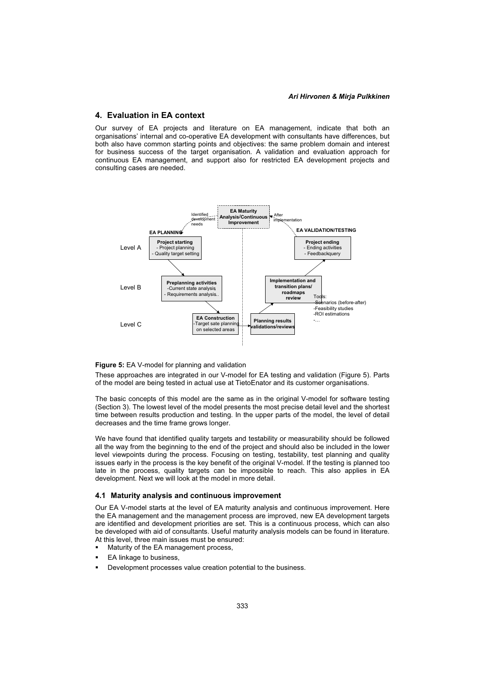#### Ari Hirvonen & Miria Pulkkinen *Ari Hirvonen & Mirja Pulkkinen*

## **4. Evaluation in EA context**

Our survey of EA projects and literature on EA management, indicate that both an organisations' internal and co-operative EA development with consultants have differences, but both also have common starting points and objectives: the same problem domain and interest for business success of the target organisation. A validation and evaluation approach for continuous EA management, and support also for restricted EA development projects and consulting cases are needed.



### **Figure 5:** EA V-model for planning and validation

These approaches are integrated in our V-model for EA testing and validation (Figure 5). Parts of the model are being tested in actual use at TietoEnator and its customer organisations.

The basic concepts of this model are the same as in the original V-model for software testing (Section 3). The lowest level of the model presents the most precise detail level and the shortest time between results production and testing. In the upper parts of the model, the level of detail decreases and the time frame grows longer.

We have found that identified quality targets and testability or measurability should be followed all the way from the beginning to the end of the project and should also be included in the lower level viewpoints during the process. Focusing on testing, testability, test planning and quality issues early in the process is the key benefit of the original V-model. If the testing is planned too late in the process, quality targets can be impossible to reach. This also applies in EA development. Next we will look at the model in more detail.

#### **4.1 Maturity analysis and continuous improvement**

Our EA V-model starts at the level of EA maturity analysis and continuous improvement. Here the EA management and the management process are improved, new EA development targets are identified and development priorities are set. This is a continuous process, which can also be developed with aid of consultants. Useful maturity analysis models can be found in literature. At this level, three main issues must be ensured:

- Maturity of the EA management process,
- EA linkage to business,
- Development processes value creation potential to the business.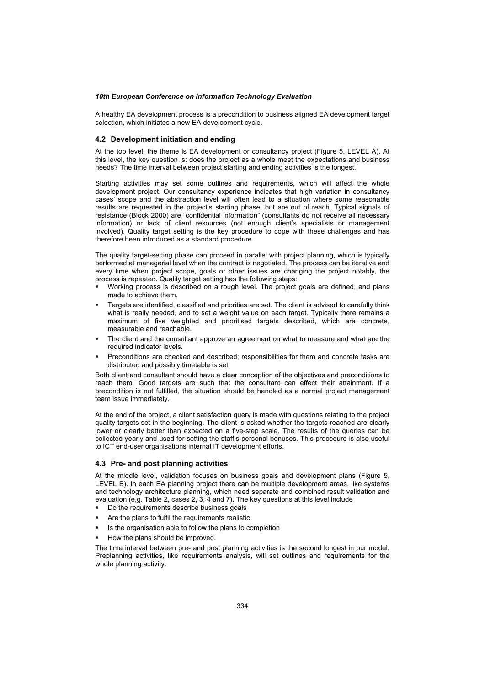A healthy EA development process is a precondition to business aligned EA development target selection, which initiates a new EA development cycle.

### **4.2 Development initiation and ending**

At the top level, the theme is EA development or consultancy project (Figure 5, LEVEL A). At this level, the key question is: does the project as a whole meet the expectations and business needs? The time interval between project starting and ending activities is the longest.

Starting activities may set some outlines and requirements, which will affect the whole development project. Our consultancy experience indicates that high variation in consultancy cases' scope and the abstraction level will often lead to a situation where some reasonable results are requested in the project's starting phase, but are out of reach. Typical signals of resistance (Block 2000) are "confidential information" (consultants do not receive all necessary information) or lack of client resources (not enough client's specialists or management involved). Quality target setting is the key procedure to cope with these challenges and has therefore been introduced as a standard procedure.

The quality target-setting phase can proceed in parallel with project planning, which is typically performed at managerial level when the contract is negotiated. The process can be iterative and every time when project scope, goals or other issues are changing the project notably, the process is repeated. Quality target setting has the following steps:

- Working process is described on a rough level. The project goals are defined, and plans made to achieve them.
- Targets are identified, classified and priorities are set. The client is advised to carefully think what is really needed, and to set a weight value on each target. Typically there remains a maximum of five weighted and prioritised targets described, which are concrete, measurable and reachable.
- The client and the consultant approve an agreement on what to measure and what are the required indicator levels.
- Preconditions are checked and described; responsibilities for them and concrete tasks are distributed and possibly timetable is set.

Both client and consultant should have a clear conception of the objectives and preconditions to reach them. Good targets are such that the consultant can effect their attainment. If a precondition is not fulfilled, the situation should be handled as a normal project management team issue immediately.

At the end of the project, a client satisfaction query is made with questions relating to the project quality targets set in the beginning. The client is asked whether the targets reached are clearly lower or clearly better than expected on a five-step scale. The results of the queries can be collected yearly and used for setting the staff's personal bonuses. This procedure is also useful to ICT end-user organisations internal IT development efforts.

## **4.3 Pre- and post planning activities**

At the middle level, validation focuses on business goals and development plans (Figure 5, LEVEL B). In each EA planning project there can be multiple development areas, like systems and technology architecture planning, which need separate and combined result validation and evaluation (e.g. Table 2, cases 2, 3, 4 and 7). The key questions at this level include

- Do the requirements describe business goals
- Are the plans to fulfil the requirements realistic
- Is the organisation able to follow the plans to completion
- How the plans should be improved.

The time interval between pre- and post planning activities is the second longest in our model. Preplanning activities, like requirements analysis, will set outlines and requirements for the whole planning activity.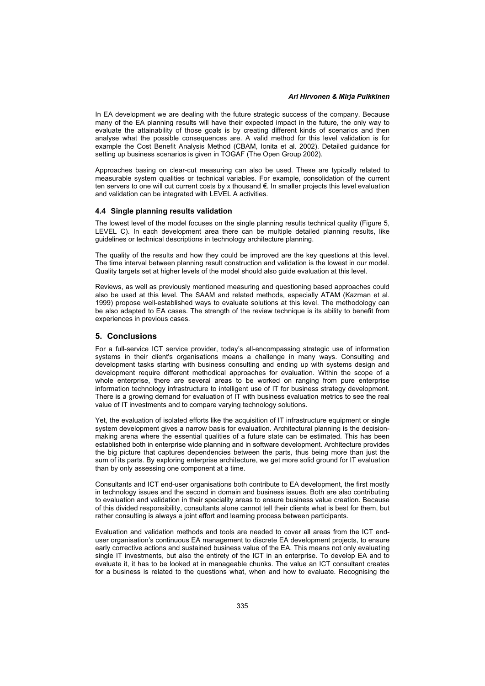#### Ari Hirvonen & Miria Pulkkinen *Ari Hirvonen & Mirja Pulkkinen*

In EA development we are dealing with the future strategic success of the company. Because many of the EA planning results will have their expected impact in the future, the only way to evaluate the attainability of those goals is by creating different kinds of scenarios and then analyse what the possible consequences are. A valid method for this level validation is for example the Cost Benefit Analysis Method (CBAM, Ionita et al. 2002). Detailed guidance for setting up business scenarios is given in TOGAF (The Open Group 2002).

Approaches basing on clear-cut measuring can also be used. These are typically related to measurable system qualities or technical variables. For example, consolidation of the current ten servers to one will cut current costs by x thousand €. In smaller projects this level evaluation and validation can be integrated with LEVEL A activities.

### **4.4 Single planning results validation**

The lowest level of the model focuses on the single planning results technical quality (Figure 5, LEVEL C). In each development area there can be multiple detailed planning results, like guidelines or technical descriptions in technology architecture planning.

The quality of the results and how they could be improved are the key questions at this level. The time interval between planning result construction and validation is the lowest in our model. Quality targets set at higher levels of the model should also guide evaluation at this level.

Reviews, as well as previously mentioned measuring and questioning based approaches could also be used at this level. The SAAM and related methods, especially ATAM (Kazman et al. 1999) propose well-established ways to evaluate solutions at this level. The methodology can be also adapted to EA cases. The strength of the review technique is its ability to benefit from experiences in previous cases.

## **5. Conclusions**

For a full-service ICT service provider, today's all-encompassing strategic use of information systems in their client's organisations means a challenge in many ways. Consulting and development tasks starting with business consulting and ending up with systems design and development require different methodical approaches for evaluation. Within the scope of a whole enterprise, there are several areas to be worked on ranging from pure enterprise information technology infrastructure to intelligent use of IT for business strategy development. There is a growing demand for evaluation of IT with business evaluation metrics to see the real value of IT investments and to compare varying technology solutions.

Yet, the evaluation of isolated efforts like the acquisition of IT infrastructure equipment or single system development gives a narrow basis for evaluation. Architectural planning is the decisionmaking arena where the essential qualities of a future state can be estimated. This has been established both in enterprise wide planning and in software development. Architecture provides the big picture that captures dependencies between the parts, thus being more than just the sum of its parts. By exploring enterprise architecture, we get more solid ground for IT evaluation than by only assessing one component at a time.

Consultants and ICT end-user organisations both contribute to EA development, the first mostly in technology issues and the second in domain and business issues. Both are also contributing to evaluation and validation in their speciality areas to ensure business value creation. Because of this divided responsibility, consultants alone cannot tell their clients what is best for them, but rather consulting is always a joint effort and learning process between participants.

Evaluation and validation methods and tools are needed to cover all areas from the ICT enduser organisation's continuous EA management to discrete EA development projects, to ensure early corrective actions and sustained business value of the EA. This means not only evaluating single IT investments, but also the entirety of the ICT in an enterprise. To develop EA and to evaluate it, it has to be looked at in manageable chunks. The value an ICT consultant creates for a business is related to the questions what, when and how to evaluate. Recognising the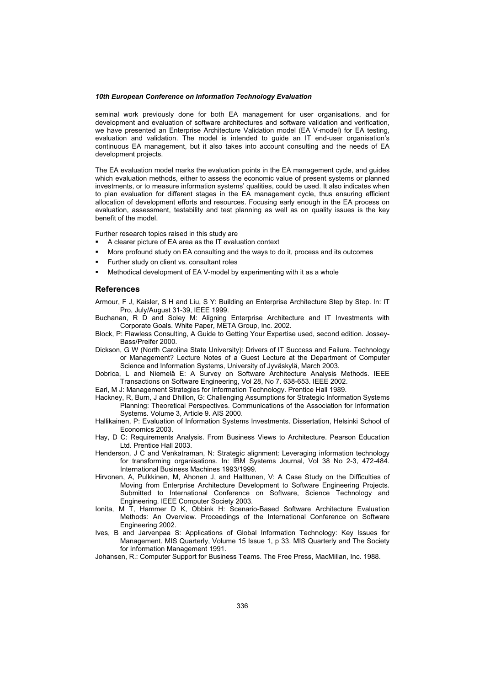seminal work previously done for both EA management for user organisations, and for development and evaluation of software architectures and software validation and verification, we have presented an Enterprise Architecture Validation model (EA V-model) for EA testing, evaluation and validation. The model is intended to guide an IT end-user organisation's continuous EA management, but it also takes into account consulting and the needs of EA development projects.

The EA evaluation model marks the evaluation points in the EA management cycle, and guides which evaluation methods, either to assess the economic value of present systems or planned investments, or to measure information systems' qualities, could be used. It also indicates when to plan evaluation for different stages in the EA management cycle, thus ensuring efficient allocation of development efforts and resources. Focusing early enough in the EA process on evaluation, assessment, testability and test planning as well as on quality issues is the key benefit of the model.

Further research topics raised in this study are

- A clearer picture of EA area as the IT evaluation context
- More profound study on EA consulting and the ways to do it, process and its outcomes
- Further study on client vs. consultant roles
- Methodical development of EA V-model by experimenting with it as a whole

## **References**

Armour, F J, Kaisler, S H and Liu, S Y: Building an Enterprise Architecture Step by Step. In: IT Pro, July/August 31-39, IEEE 1999.

- Buchanan, R D and Soley M: Aligning Enterprise Architecture and IT Investments with Corporate Goals. White Paper, META Group, Inc. 2002.
- Block, P: Flawless Consulting, A Guide to Getting Your Expertise used, second edition. Jossey-Bass/Preifer 2000.
- Dickson, G W (North Carolina State University): Drivers of IT Success and Failure. Technology or Management? Lecture Notes of a Guest Lecture at the Department of Computer Science and Information Systems, University of Jyväskylä, March 2003.
- Dobrica, L and Niemelä E: A Survey on Software Architecture Analysis Methods. IEEE Transactions on Software Engineering, Vol 28, No 7. 638-653. IEEE 2002.
- Earl, M J: Management Strategies for Information Technology. Prentice Hall 1989.
- Hackney, R, Burn, J and Dhillon, G: Challenging Assumptions for Strategic Information Systems Planning: Theoretical Perspectives. Communications of the Association for Information Systems. Volume 3, Article 9. AIS 2000.
- Hallikainen, P: Evaluation of Information Systems Investments. Dissertation, Helsinki School of Economics 2003.
- Hay, D C: Requirements Analysis. From Business Views to Architecture. Pearson Education Ltd. Prentice Hall 2003.
- Henderson, J C and Venkatraman, N: Strategic alignment: Leveraging information technology for transforming organisations. In: IBM Systems Journal, Vol 38 No 2-3, 472-484. International Business Machines 1993/1999.
- Hirvonen, A, Pulkkinen, M, Ahonen J, and Halttunen, V: A Case Study on the Difficulties of Moving from Enterprise Architecture Development to Software Engineering Projects. Submitted to International Conference on Software, Science Technology and Engineering. IEEE Computer Society 2003.
- Ionita, M T, Hammer D K, Obbink H: Scenario-Based Software Architecture Evaluation Methods: An Overview. Proceedings of the International Conference on Software Engineering 2002.
- Ives, B and Jarvenpaa S: Applications of Global Information Technology: Key Issues for Management. MIS Quarterly, Volume 15 Issue 1, p 33. MIS Quarterly and The Society for Information Management 1991.

Johansen, R.: Computer Support for Business Teams. The Free Press, MacMillan, Inc. 1988.